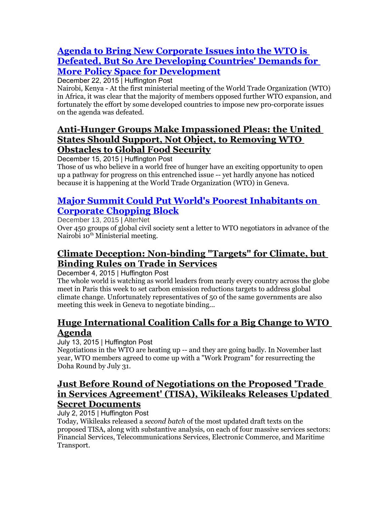#### **[Agenda to Bring New Corporate Issues into the WTO is](http://www.huffingtonpost.com/deborah-james/agenda-to-bring-new-corpo_b_8862592.html)  [Defeated, But So Are Developing Countries' Demands for](http://www.huffingtonpost.com/deborah-james/agenda-to-bring-new-corpo_b_8862592.html)  [More Policy Space for Development](http://www.huffingtonpost.com/deborah-james/agenda-to-bring-new-corpo_b_8862592.html)**

December 22, 2015 | Huffington Post

Nairobi, Kenya - At the first ministerial meeting of the World Trade Organization (WTO) in Africa, it was clear that the majority of members opposed further WTO expansion, and fortunately the effort by some developed countries to impose new pro-corporate issues on the agenda was defeated.

# **[Anti-Hunger Groups Make Impassioned Pleas: the United](http://www.huffingtonpost.com/deborah-james/anti-hunger-groups-make-i_b_8812522.html)  [States Should Support, Not Object, to Removing WTO](http://www.huffingtonpost.com/deborah-james/anti-hunger-groups-make-i_b_8812522.html)  [Obstacles to Global Food Security](http://www.huffingtonpost.com/deborah-james/anti-hunger-groups-make-i_b_8812522.html)**

December 15, 2015 | Huffington Post

Those of us who believe in a world free of hunger have an exciting opportunity to open up a pathway for progress on this entrenched issue -- yet hardly anyone has noticed because it is happening at the World Trade Organization (WTO) in Geneva.

#### **[Major Summit Could Put World's Poorest Inhabitants on](http://www.alternet.org/world/major-summit-could-put-worlds-poorest-inhabitants-corporate-chopping-block)  [Corporate Chopping Block](http://www.alternet.org/world/major-summit-could-put-worlds-poorest-inhabitants-corporate-chopping-block)**

December 13, 2015 | AlterNet Over 450 groups of global civil society sent a letter to WTO negotiators in advance of the Nairobi 10<sup>th</sup> Ministerial meeting.

# **[Climate Deception: Non-binding "Targets" for Climate, but](http://www.huffingtonpost.com/deborah-james/climate-deception-non-bin_b_8724014.html)  [Binding Rules on Trade in Services](http://www.huffingtonpost.com/deborah-james/climate-deception-non-bin_b_8724014.html)**

December 4, 2015 | Huffington Post

The whole world is watching as world leaders from nearly every country across the globe meet in Paris this week to set carbon emission reductions targets to address global climate change. Unfortunately representatives of 50 of the same governments are also meeting this week in Geneva to negotiate binding...

# **[Huge International Coalition Calls for a Big Change to WTO](http://www.huffingtonpost.com/deborah-james/huge-international-coalit_b_7788358.html)  [Agenda](http://www.huffingtonpost.com/deborah-james/huge-international-coalit_b_7788358.html)**

July 13, 2015 | Huffington Post

Negotiations in the WTO are heating up -- and they are going badly. In November last year, WTO members agreed to come up with a "Work Program" for resurrecting the Doha Round by July 31.

#### **[Just Before Round of Negotiations on the Proposed 'Trade](http://www.huffingtonpost.com/deborah-james/just-before-round-of-nego_b_7715478.html)  [in Services Agreement' \(TISA\), Wikileaks Releases Updated](http://www.huffingtonpost.com/deborah-james/just-before-round-of-nego_b_7715478.html)  [Secret Documents](http://www.huffingtonpost.com/deborah-james/just-before-round-of-nego_b_7715478.html)**

July 2, 2015 | Huffington Post

Today, Wikileaks released a *second batch* of the most updated draft texts on the proposed TISA, along with substantive analysis, on each of four massive services sectors: Financial Services, Telecommunications Services, Electronic Commerce, and Maritime Transport.